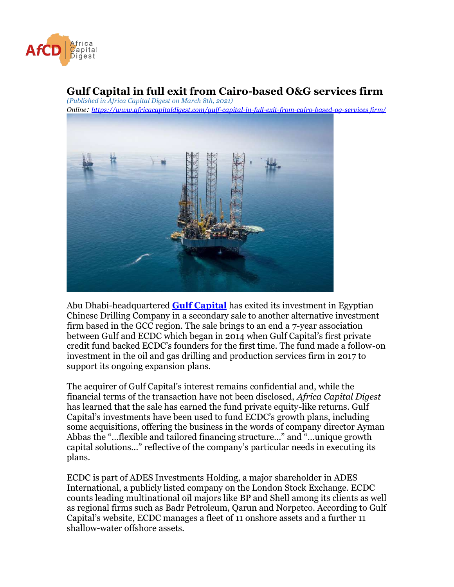

## **Gulf Capital in full exit from Cairo-based O&G services firm**

*(Published in Africa Capital Digest on March 8th, 2021) Online: [https://www.africacapitaldigest.com/gulf-capital-in-full-exit-from-cairo-based-og-services firm/](https://www.africacapitaldigest.com/gulf-capital-in-full-exit-from-cairo-based-og-services-firm/)*



Abu Dhabi-headquartered **[Gulf Capital](https://gulfcapital.com/)** has exited its investment in Egyptian Chinese Drilling Company in a secondary sale to another alternative investment firm based in the GCC region. The sale brings to an end a 7-year association between Gulf and ECDC which began in 2014 when Gulf Capital's first private credit fund backed ECDC's founders for the first time. The fund made a follow-on investment in the oil and gas drilling and production services firm in 2017 to support its ongoing expansion plans.

The acquirer of Gulf Capital's interest remains confidential and, while the financial terms of the transaction have not been disclosed, *Africa Capital Digest* has learned that the sale has earned the fund private equity-like returns. Gulf Capital's investments have been used to fund ECDC's growth plans, including some acquisitions, offering the business in the words of company director Ayman Abbas the "…flexible and tailored financing structure…" and "…unique growth capital solutions…" reflective of the company's particular needs in executing its plans.

ECDC is part of ADES Investments Holding, a major shareholder in ADES International, a publicly listed company on the London Stock Exchange. ECDC counts leading multinational oil majors like BP and Shell among its clients as well as regional firms such as Badr Petroleum, Qarun and Norpetco. According to Gulf Capital's website, ECDC manages a fleet of 11 onshore assets and a further 11 shallow-water offshore assets.